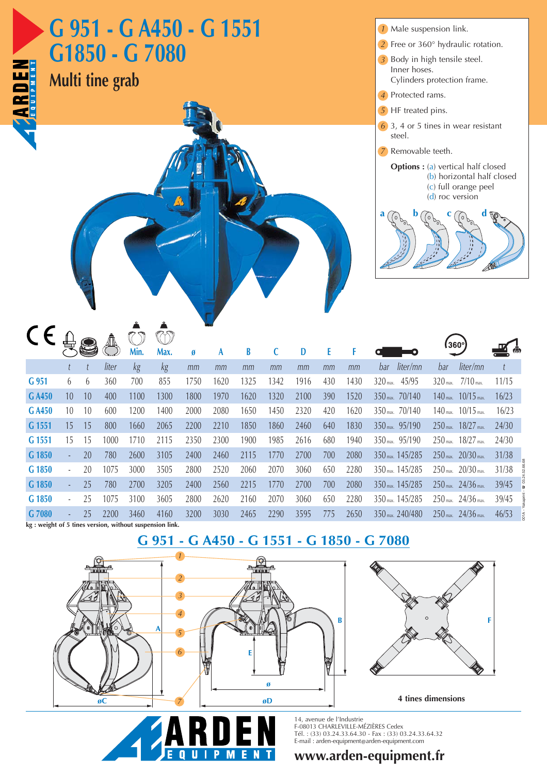| G 951 - G A450 - G 1551<br>G1850 - G 7080<br><b>Multi tine grab</b><br><b>ENRICE</b> |                          |    |       |      |      |      |      |      |      |      |     |      | 1 Male suspension link.<br>$2$ Free or 360 $^{\circ}$ hydraulic rotation.<br>3 Body in high tensile steel.<br>Inner hoses.<br>Cylinders protection frame.<br>4 Protected rams.<br>5 HF treated pins.<br>$\overline{6}$ 3, 4 or 5 tines in wear resistant |                   |                                                    |       |                  |
|--------------------------------------------------------------------------------------|--------------------------|----|-------|------|------|------|------|------|------|------|-----|------|----------------------------------------------------------------------------------------------------------------------------------------------------------------------------------------------------------------------------------------------------------|-------------------|----------------------------------------------------|-------|------------------|
|                                                                                      |                          |    |       |      |      |      |      |      |      |      |     |      | steel.<br>Removable teeth.<br>7<br><b>Options :</b> (a) vertical half closed<br>a                                                                                                                                                                        | $(d)$ roc version | (b) horizontal half closed<br>(c) full orange peel |       |                  |
| CE                                                                                   |                          |    |       | Min. | Max. | Ø    | A    | B    | C    | D    | E   |      |                                                                                                                                                                                                                                                          | 360°              |                                                    |       |                  |
|                                                                                      |                          |    | liter | kg   | kg   | mm   | mm   | mm   | mm   | mm   | mm  | mm   | liter/mn<br>bar                                                                                                                                                                                                                                          | bar               | liter/mn                                           |       |                  |
| G 951                                                                                | 6                        | 6  | 360   | 700  | 855  | 1750 | 1620 | 1325 | 1342 | 1916 | 430 | 1430 | 320 max. 45/95                                                                                                                                                                                                                                           |                   | 320 max. 7/10 max.                                 | 11/15 |                  |
| G A450                                                                               | 10                       | 10 | 400   | 1100 | 1300 | 1800 | 1970 | 1620 | 1320 | 2100 | 390 | 1520 | 350 max. 70/140                                                                                                                                                                                                                                          |                   | $140$ max. $10/15$ max.                            | 16/23 |                  |
| G A450                                                                               | 10                       | 10 | 600   | 1200 | 1400 | 2000 | 2080 | 1650 | 1450 | 2320 | 420 | 1620 | 350 max. 70/140                                                                                                                                                                                                                                          |                   | $140$ max. $10/15$ max.                            | 16/23 |                  |
| G 1551                                                                               | 15                       | 15 | 800   | 1660 | 2065 | 2200 | 2210 | 1850 | 1860 | 2460 | 640 | 1830 | 350 max. 95/190                                                                                                                                                                                                                                          |                   | 250 max. 18/27 max.                                | 24/30 |                  |
| G 1551                                                                               | 15                       | 15 | 1000  | 1710 | 2115 | 2350 | 2300 | 1900 | 1985 | 2616 | 680 | 1940 | 350 max. 95/190                                                                                                                                                                                                                                          |                   | 250 max. 18/27 max.                                | 24/30 |                  |
| G 1850                                                                               | ÷                        | 20 | 780   | 2600 | 3105 | 2400 | 2460 | 2115 | 1770 | 2700 | 700 | 2080 | 350 max. 145/285                                                                                                                                                                                                                                         |                   | $250$ max. $20/30$ max.                            | 31/38 |                  |
| G 1850                                                                               | $\overline{\phantom{a}}$ | 20 | 1075  | 3000 | 3505 | 2800 | 2520 | 2060 | 2070 | 3060 | 650 | 2280 | 350 max. 145/285                                                                                                                                                                                                                                         |                   | $250$ max. $20/30$ max.                            | 31/38 | ☎ 03.24.52.66.68 |
| G 1850                                                                               | ÷                        | 25 | 780   | 2700 | 3205 | 2400 | 2560 | 2215 | 1770 | 2700 | 700 | 2080 | 350 max. 145/285                                                                                                                                                                                                                                         |                   | $250$ max. $24/36$ max.                            | 39/45 |                  |
| G 1850                                                                               | $\overline{\phantom{a}}$ | 25 | 1075  | 3100 | 3605 | 2800 | 2620 | 2160 | 2070 | 3060 | 650 | 2280 | 350 max. 145/285                                                                                                                                                                                                                                         |                   | $250$ max. $24/36$ max.                            | 39/45 | 01A - Yakaprint  |
| G 7080                                                                               |                          | 25 | 2200  | 3460 | 4160 | 3200 | 3030 | 2465 | 2290 | 3595 | 775 | 2650 | 350 max. 240/480                                                                                                                                                                                                                                         |                   | $250$ max. $24/36$ max.                            | 46/53 |                  |
| kg : weight of 5 tines version, without suspension link.                             |                          |    |       |      |      |      |      |      |      |      |     |      |                                                                                                                                                                                                                                                          |                   |                                                    |       |                  |

## **G 951 - G A450 - G 1551 - G 1850 - G 7080**





**4 tines dimensions**



14, avenue de l'Industrie F-08013 CHARLEVILLE-MÉZIÈRES Cedex Tél. : (33) 03.24.33.64.30 - Fax : (33) 03.24.33.64.32 E-mail : arden-equipment@arden-equipment.com

## **www.arden-equipment.fr**